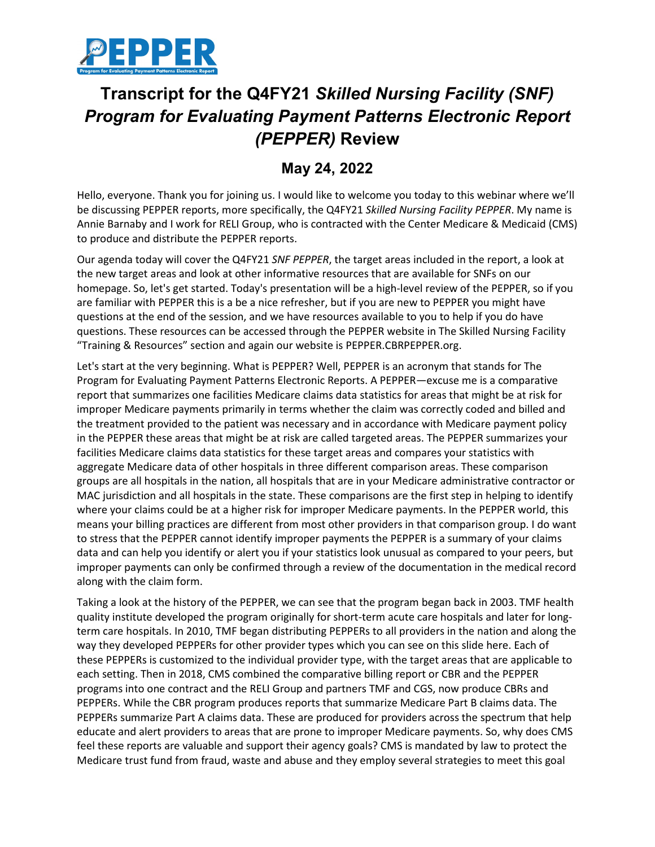

## **Transcript for the Q4FY21** *Skilled Nursing Facility (SNF) Program for Evaluating Payment Patterns Electronic Report (PEPPER)* **Review**

## **May 24, 2022**

Hello, everyone. Thank you for joining us. I would like to welcome you today to this webinar where we'll be discussing PEPPER reports, more specifically, the Q4FY21 *Skilled Nursing Facility PEPPER*. My name is Annie Barnaby and I work for RELI Group, who is contracted with the Center Medicare & Medicaid (CMS) to produce and distribute the PEPPER reports.

Our agenda today will cover the Q4FY21 *SNF PEPPER*, the target areas included in the report, a look at the new target areas and look at other informative resources that are available for SNFs on our homepage. So, let's get started. Today's presentation will be a high-level review of the PEPPER, so if you are familiar with PEPPER this is a be a nice refresher, but if you are new to PEPPER you might have questions at the end of the session, and we have resources available to you to help if you do have questions. These resources can be accessed through the PEPPER website in The Skilled Nursing Facility "Training & Resources" section and again our website is PEPPER.CBRPEPPER.org.

Let's start at the very beginning. What is PEPPER? Well, PEPPER is an acronym that stands for The Program for Evaluating Payment Patterns Electronic Reports. A PEPPER—excuse me is a comparative report that summarizes one facilities Medicare claims data statistics for areas that might be at risk for improper Medicare payments primarily in terms whether the claim was correctly coded and billed and the treatment provided to the patient was necessary and in accordance with Medicare payment policy in the PEPPER these areas that might be at risk are called targeted areas. The PEPPER summarizes your facilities Medicare claims data statistics for these target areas and compares your statistics with aggregate Medicare data of other hospitals in three different comparison areas. These comparison groups are all hospitals in the nation, all hospitals that are in your Medicare administrative contractor or MAC jurisdiction and all hospitals in the state. These comparisons are the first step in helping to identify where your claims could be at a higher risk for improper Medicare payments. In the PEPPER world, this means your billing practices are different from most other providers in that comparison group. I do want to stress that the PEPPER cannot identify improper payments the PEPPER is a summary of your claims data and can help you identify or alert you if your statistics look unusual as compared to your peers, but improper payments can only be confirmed through a review of the documentation in the medical record along with the claim form.

Taking a look at the history of the PEPPER, we can see that the program began back in 2003. TMF health quality institute developed the program originally for short-term acute care hospitals and later for longterm care hospitals. In 2010, TMF began distributing PEPPERs to all providers in the nation and along the way they developed PEPPERs for other provider types which you can see on this slide here. Each of these PEPPERs is customized to the individual provider type, with the target areas that are applicable to each setting. Then in 2018, CMS combined the comparative billing report or CBR and the PEPPER programs into one contract and the RELI Group and partners TMF and CGS, now produce CBRs and PEPPERs. While the CBR program produces reports that summarize Medicare Part B claims data. The PEPPERs summarize Part A claims data. These are produced for providers across the spectrum that help educate and alert providers to areas that are prone to improper Medicare payments. So, why does CMS feel these reports are valuable and support their agency goals? CMS is mandated by law to protect the Medicare trust fund from fraud, waste and abuse and they employ several strategies to meet this goal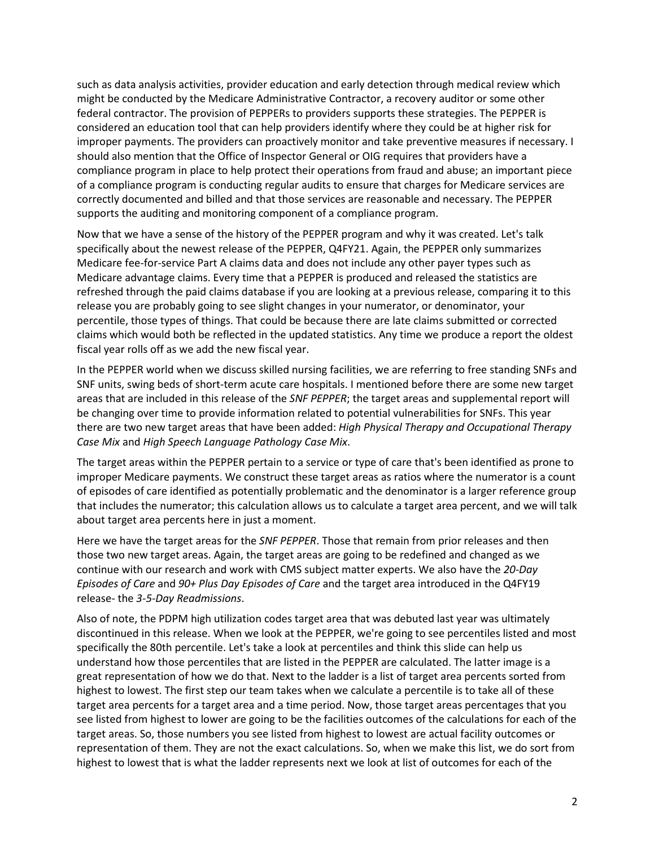such as data analysis activities, provider education and early detection through medical review which might be conducted by the Medicare Administrative Contractor, a recovery auditor or some other federal contractor. The provision of PEPPERs to providers supports these strategies. The PEPPER is considered an education tool that can help providers identify where they could be at higher risk for improper payments. The providers can proactively monitor and take preventive measures if necessary. I should also mention that the Office of Inspector General or OIG requires that providers have a compliance program in place to help protect their operations from fraud and abuse; an important piece of a compliance program is conducting regular audits to ensure that charges for Medicare services are correctly documented and billed and that those services are reasonable and necessary. The PEPPER supports the auditing and monitoring component of a compliance program.

Now that we have a sense of the history of the PEPPER program and why it was created. Let's talk specifically about the newest release of the PEPPER, Q4FY21. Again, the PEPPER only summarizes Medicare fee-for-service Part A claims data and does not include any other payer types such as Medicare advantage claims. Every time that a PEPPER is produced and released the statistics are refreshed through the paid claims database if you are looking at a previous release, comparing it to this release you are probably going to see slight changes in your numerator, or denominator, your percentile, those types of things. That could be because there are late claims submitted or corrected claims which would both be reflected in the updated statistics. Any time we produce a report the oldest fiscal year rolls off as we add the new fiscal year.

In the PEPPER world when we discuss skilled nursing facilities, we are referring to free standing SNFs and SNF units, swing beds of short-term acute care hospitals. I mentioned before there are some new target areas that are included in this release of the *SNF PEPPER*; the target areas and supplemental report will be changing over time to provide information related to potential vulnerabilities for SNFs. This year there are two new target areas that have been added: *High Physical Therapy and Occupational Therapy Case Mix* and *High Speech Language Pathology Case Mix*.

The target areas within the PEPPER pertain to a service or type of care that's been identified as prone to improper Medicare payments. We construct these target areas as ratios where the numerator is a count of episodes of care identified as potentially problematic and the denominator is a larger reference group that includes the numerator; this calculation allows us to calculate a target area percent, and we will talk about target area percents here in just a moment.

Here we have the target areas for the *SNF PEPPER*. Those that remain from prior releases and then those two new target areas. Again, the target areas are going to be redefined and changed as we continue with our research and work with CMS subject matter experts. We also have the *20-Day Episodes of Care* and *90+ Plus Day Episodes of Care* and the target area introduced in the Q4FY19 release- the *3-5-Day Readmissions*.

Also of note, the PDPM high utilization codes target area that was debuted last year was ultimately discontinued in this release. When we look at the PEPPER, we're going to see percentiles listed and most specifically the 80th percentile. Let's take a look at percentiles and think this slide can help us understand how those percentiles that are listed in the PEPPER are calculated. The latter image is a great representation of how we do that. Next to the ladder is a list of target area percents sorted from highest to lowest. The first step our team takes when we calculate a percentile is to take all of these target area percents for a target area and a time period. Now, those target areas percentages that you see listed from highest to lower are going to be the facilities outcomes of the calculations for each of the target areas. So, those numbers you see listed from highest to lowest are actual facility outcomes or representation of them. They are not the exact calculations. So, when we make this list, we do sort from highest to lowest that is what the ladder represents next we look at list of outcomes for each of the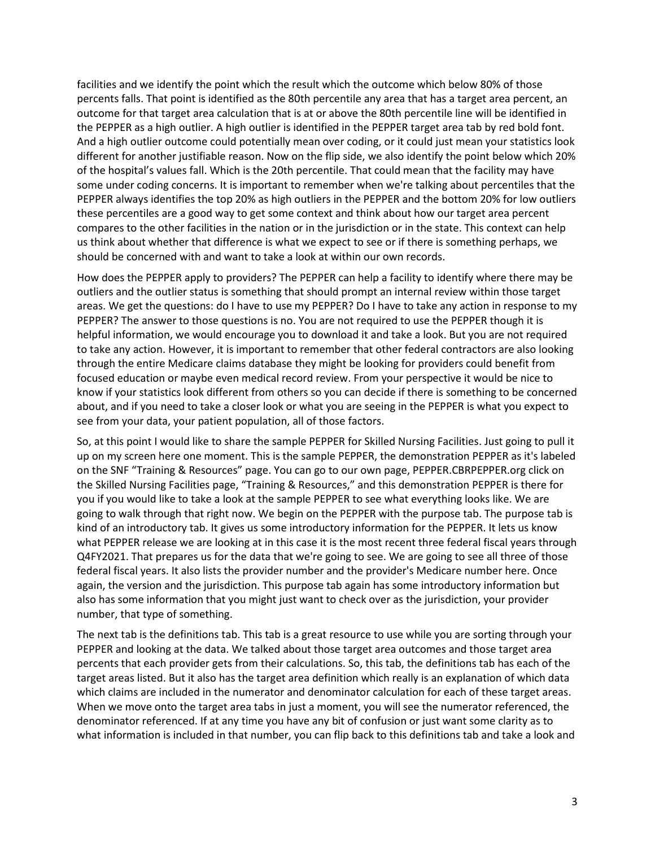facilities and we identify the point which the result which the outcome which below 80% of those percents falls. That point is identified as the 80th percentile any area that has a target area percent, an outcome for that target area calculation that is at or above the 80th percentile line will be identified in the PEPPER as a high outlier. A high outlier is identified in the PEPPER target area tab by red bold font. And a high outlier outcome could potentially mean over coding, or it could just mean your statistics look different for another justifiable reason. Now on the flip side, we also identify the point below which 20% of the hospital's values fall. Which is the 20th percentile. That could mean that the facility may have some under coding concerns. It is important to remember when we're talking about percentiles that the PEPPER always identifies the top 20% as high outliers in the PEPPER and the bottom 20% for low outliers these percentiles are a good way to get some context and think about how our target area percent compares to the other facilities in the nation or in the jurisdiction or in the state. This context can help us think about whether that difference is what we expect to see or if there is something perhaps, we should be concerned with and want to take a look at within our own records.

How does the PEPPER apply to providers? The PEPPER can help a facility to identify where there may be outliers and the outlier status is something that should prompt an internal review within those target areas. We get the questions: do I have to use my PEPPER? Do I have to take any action in response to my PEPPER? The answer to those questions is no. You are not required to use the PEPPER though it is helpful information, we would encourage you to download it and take a look. But you are not required to take any action. However, it is important to remember that other federal contractors are also looking through the entire Medicare claims database they might be looking for providers could benefit from focused education or maybe even medical record review. From your perspective it would be nice to know if your statistics look different from others so you can decide if there is something to be concerned about, and if you need to take a closer look or what you are seeing in the PEPPER is what you expect to see from your data, your patient population, all of those factors.

So, at this point I would like to share the sample PEPPER for Skilled Nursing Facilities. Just going to pull it up on my screen here one moment. This is the sample PEPPER, the demonstration PEPPER as it's labeled on the SNF "Training & Resources" page. You can go to our own page, PEPPER.CBRPEPPER.org click on the Skilled Nursing Facilities page, "Training & Resources," and this demonstration PEPPER is there for you if you would like to take a look at the sample PEPPER to see what everything looks like. We are going to walk through that right now. We begin on the PEPPER with the purpose tab. The purpose tab is kind of an introductory tab. It gives us some introductory information for the PEPPER. It lets us know what PEPPER release we are looking at in this case it is the most recent three federal fiscal years through Q4FY2021. That prepares us for the data that we're going to see. We are going to see all three of those federal fiscal years. It also lists the provider number and the provider's Medicare number here. Once again, the version and the jurisdiction. This purpose tab again has some introductory information but also has some information that you might just want to check over as the jurisdiction, your provider number, that type of something.

The next tab is the definitions tab. This tab is a great resource to use while you are sorting through your PEPPER and looking at the data. We talked about those target area outcomes and those target area percents that each provider gets from their calculations. So, this tab, the definitions tab has each of the target areas listed. But it also has the target area definition which really is an explanation of which data which claims are included in the numerator and denominator calculation for each of these target areas. When we move onto the target area tabs in just a moment, you will see the numerator referenced, the denominator referenced. If at any time you have any bit of confusion or just want some clarity as to what information is included in that number, you can flip back to this definitions tab and take a look and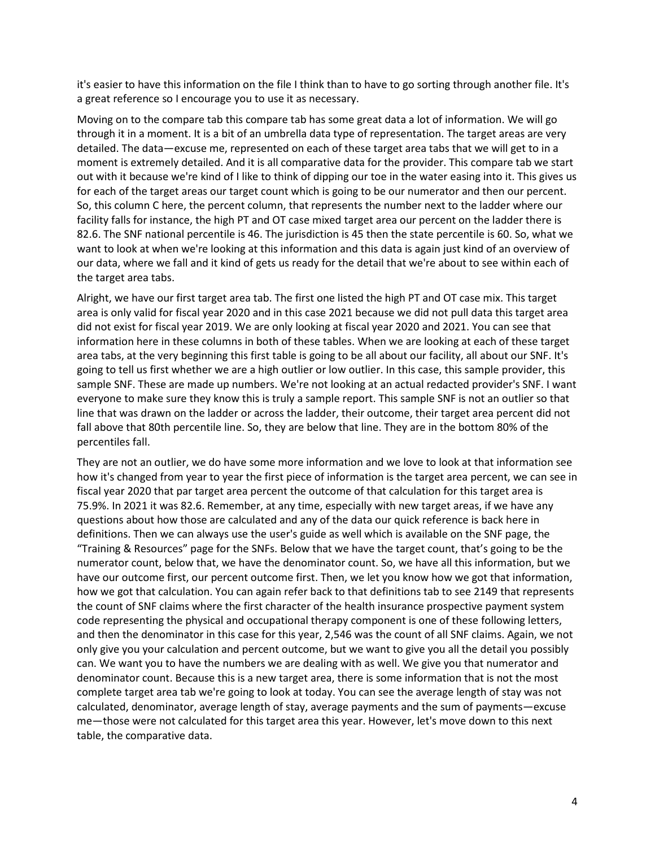it's easier to have this information on the file I think than to have to go sorting through another file. It's a great reference so I encourage you to use it as necessary.

Moving on to the compare tab this compare tab has some great data a lot of information. We will go through it in a moment. It is a bit of an umbrella data type of representation. The target areas are very detailed. The data—excuse me, represented on each of these target area tabs that we will get to in a moment is extremely detailed. And it is all comparative data for the provider. This compare tab we start out with it because we're kind of I like to think of dipping our toe in the water easing into it. This gives us for each of the target areas our target count which is going to be our numerator and then our percent. So, this column C here, the percent column, that represents the number next to the ladder where our facility falls for instance, the high PT and OT case mixed target area our percent on the ladder there is 82.6. The SNF national percentile is 46. The jurisdiction is 45 then the state percentile is 60. So, what we want to look at when we're looking at this information and this data is again just kind of an overview of our data, where we fall and it kind of gets us ready for the detail that we're about to see within each of the target area tabs.

Alright, we have our first target area tab. The first one listed the high PT and OT case mix. This target area is only valid for fiscal year 2020 and in this case 2021 because we did not pull data this target area did not exist for fiscal year 2019. We are only looking at fiscal year 2020 and 2021. You can see that information here in these columns in both of these tables. When we are looking at each of these target area tabs, at the very beginning this first table is going to be all about our facility, all about our SNF. It's going to tell us first whether we are a high outlier or low outlier. In this case, this sample provider, this sample SNF. These are made up numbers. We're not looking at an actual redacted provider's SNF. I want everyone to make sure they know this is truly a sample report. This sample SNF is not an outlier so that line that was drawn on the ladder or across the ladder, their outcome, their target area percent did not fall above that 80th percentile line. So, they are below that line. They are in the bottom 80% of the percentiles fall.

They are not an outlier, we do have some more information and we love to look at that information see how it's changed from year to year the first piece of information is the target area percent, we can see in fiscal year 2020 that par target area percent the outcome of that calculation for this target area is 75.9%. In 2021 it was 82.6. Remember, at any time, especially with new target areas, if we have any questions about how those are calculated and any of the data our quick reference is back here in definitions. Then we can always use the user's guide as well which is available on the SNF page, the "Training & Resources" page for the SNFs. Below that we have the target count, that's going to be the numerator count, below that, we have the denominator count. So, we have all this information, but we have our outcome first, our percent outcome first. Then, we let you know how we got that information, how we got that calculation. You can again refer back to that definitions tab to see 2149 that represents the count of SNF claims where the first character of the health insurance prospective payment system code representing the physical and occupational therapy component is one of these following letters, and then the denominator in this case for this year, 2,546 was the count of all SNF claims. Again, we not only give you your calculation and percent outcome, but we want to give you all the detail you possibly can. We want you to have the numbers we are dealing with as well. We give you that numerator and denominator count. Because this is a new target area, there is some information that is not the most complete target area tab we're going to look at today. You can see the average length of stay was not calculated, denominator, average length of stay, average payments and the sum of payments—excuse me—those were not calculated for this target area this year. However, let's move down to this next table, the comparative data.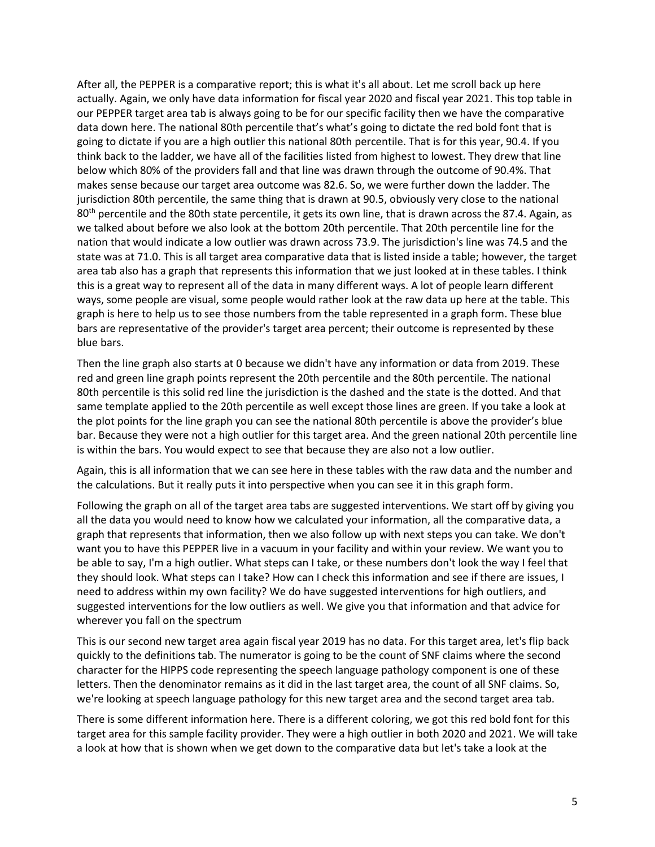After all, the PEPPER is a comparative report; this is what it's all about. Let me scroll back up here actually. Again, we only have data information for fiscal year 2020 and fiscal year 2021. This top table in our PEPPER target area tab is always going to be for our specific facility then we have the comparative data down here. The national 80th percentile that's what's going to dictate the red bold font that is going to dictate if you are a high outlier this national 80th percentile. That is for this year, 90.4. If you think back to the ladder, we have all of the facilities listed from highest to lowest. They drew that line below which 80% of the providers fall and that line was drawn through the outcome of 90.4%. That makes sense because our target area outcome was 82.6. So, we were further down the ladder. The jurisdiction 80th percentile, the same thing that is drawn at 90.5, obviously very close to the national 80<sup>th</sup> percentile and the 80th state percentile, it gets its own line, that is drawn across the 87.4. Again, as we talked about before we also look at the bottom 20th percentile. That 20th percentile line for the nation that would indicate a low outlier was drawn across 73.9. The jurisdiction's line was 74.5 and the state was at 71.0. This is all target area comparative data that is listed inside a table; however, the target area tab also has a graph that represents this information that we just looked at in these tables. I think this is a great way to represent all of the data in many different ways. A lot of people learn different ways, some people are visual, some people would rather look at the raw data up here at the table. This graph is here to help us to see those numbers from the table represented in a graph form. These blue bars are representative of the provider's target area percent; their outcome is represented by these blue bars.

Then the line graph also starts at 0 because we didn't have any information or data from 2019. These red and green line graph points represent the 20th percentile and the 80th percentile. The national 80th percentile is this solid red line the jurisdiction is the dashed and the state is the dotted. And that same template applied to the 20th percentile as well except those lines are green. If you take a look at the plot points for the line graph you can see the national 80th percentile is above the provider's blue bar. Because they were not a high outlier for this target area. And the green national 20th percentile line is within the bars. You would expect to see that because they are also not a low outlier.

Again, this is all information that we can see here in these tables with the raw data and the number and the calculations. But it really puts it into perspective when you can see it in this graph form.

Following the graph on all of the target area tabs are suggested interventions. We start off by giving you all the data you would need to know how we calculated your information, all the comparative data, a graph that represents that information, then we also follow up with next steps you can take. We don't want you to have this PEPPER live in a vacuum in your facility and within your review. We want you to be able to say, I'm a high outlier. What steps can I take, or these numbers don't look the way I feel that they should look. What steps can I take? How can I check this information and see if there are issues, I need to address within my own facility? We do have suggested interventions for high outliers, and suggested interventions for the low outliers as well. We give you that information and that advice for wherever you fall on the spectrum

This is our second new target area again fiscal year 2019 has no data. For this target area, let's flip back quickly to the definitions tab. The numerator is going to be the count of SNF claims where the second character for the HIPPS code representing the speech language pathology component is one of these letters. Then the denominator remains as it did in the last target area, the count of all SNF claims. So, we're looking at speech language pathology for this new target area and the second target area tab.

There is some different information here. There is a different coloring, we got this red bold font for this target area for this sample facility provider. They were a high outlier in both 2020 and 2021. We will take a look at how that is shown when we get down to the comparative data but let's take a look at the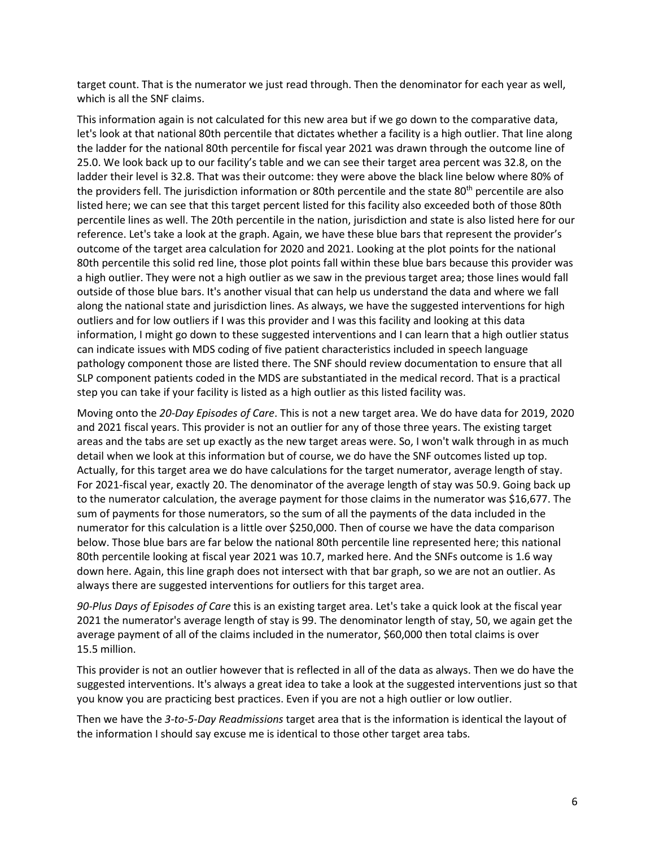target count. That is the numerator we just read through. Then the denominator for each year as well, which is all the SNF claims.

This information again is not calculated for this new area but if we go down to the comparative data, let's look at that national 80th percentile that dictates whether a facility is a high outlier. That line along the ladder for the national 80th percentile for fiscal year 2021 was drawn through the outcome line of 25.0. We look back up to our facility's table and we can see their target area percent was 32.8, on the ladder their level is 32.8. That was their outcome: they were above the black line below where 80% of the providers fell. The jurisdiction information or 80th percentile and the state 80<sup>th</sup> percentile are also listed here; we can see that this target percent listed for this facility also exceeded both of those 80th percentile lines as well. The 20th percentile in the nation, jurisdiction and state is also listed here for our reference. Let's take a look at the graph. Again, we have these blue bars that represent the provider's outcome of the target area calculation for 2020 and 2021. Looking at the plot points for the national 80th percentile this solid red line, those plot points fall within these blue bars because this provider was a high outlier. They were not a high outlier as we saw in the previous target area; those lines would fall outside of those blue bars. It's another visual that can help us understand the data and where we fall along the national state and jurisdiction lines. As always, we have the suggested interventions for high outliers and for low outliers if I was this provider and I was this facility and looking at this data information, I might go down to these suggested interventions and I can learn that a high outlier status can indicate issues with MDS coding of five patient characteristics included in speech language pathology component those are listed there. The SNF should review documentation to ensure that all SLP component patients coded in the MDS are substantiated in the medical record. That is a practical step you can take if your facility is listed as a high outlier as this listed facility was.

Moving onto the *20-Day Episodes of Care*. This is not a new target area. We do have data for 2019, 2020 and 2021 fiscal years. This provider is not an outlier for any of those three years. The existing target areas and the tabs are set up exactly as the new target areas were. So, I won't walk through in as much detail when we look at this information but of course, we do have the SNF outcomes listed up top. Actually, for this target area we do have calculations for the target numerator, average length of stay. For 2021-fiscal year, exactly 20. The denominator of the average length of stay was 50.9. Going back up to the numerator calculation, the average payment for those claims in the numerator was \$16,677. The sum of payments for those numerators, so the sum of all the payments of the data included in the numerator for this calculation is a little over \$250,000. Then of course we have the data comparison below. Those blue bars are far below the national 80th percentile line represented here; this national 80th percentile looking at fiscal year 2021 was 10.7, marked here. And the SNFs outcome is 1.6 way down here. Again, this line graph does not intersect with that bar graph, so we are not an outlier. As always there are suggested interventions for outliers for this target area.

*90-Plus Days of Episodes of Care* this is an existing target area. Let's take a quick look at the fiscal year 2021 the numerator's average length of stay is 99. The denominator length of stay, 50, we again get the average payment of all of the claims included in the numerator, \$60,000 then total claims is over 15.5 million.

This provider is not an outlier however that is reflected in all of the data as always. Then we do have the suggested interventions. It's always a great idea to take a look at the suggested interventions just so that you know you are practicing best practices. Even if you are not a high outlier or low outlier.

Then we have the *3-to-5-Day Readmissions* target area that is the information is identical the layout of the information I should say excuse me is identical to those other target area tabs.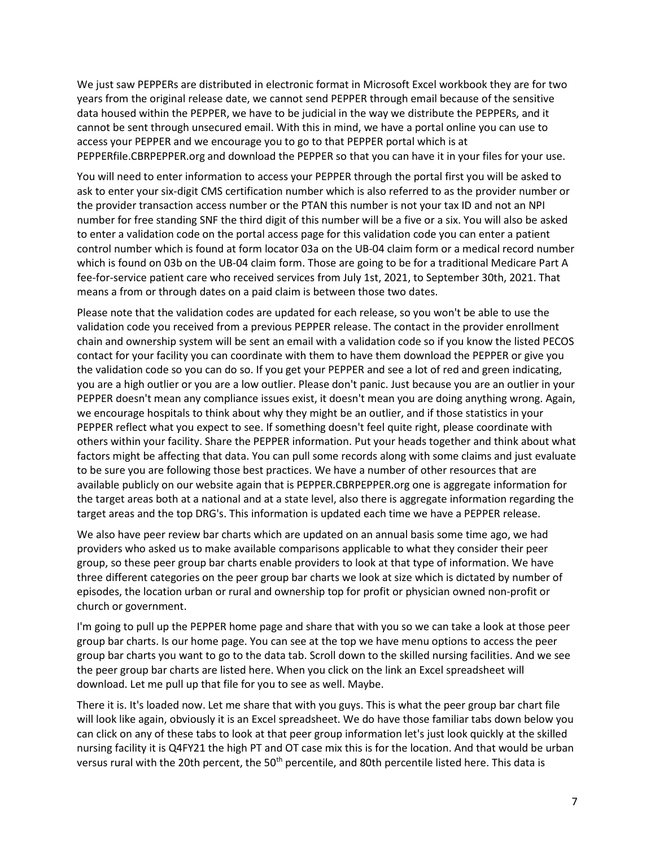We just saw PEPPERs are distributed in electronic format in Microsoft Excel workbook they are for two years from the original release date, we cannot send PEPPER through email because of the sensitive data housed within the PEPPER, we have to be judicial in the way we distribute the PEPPERs, and it cannot be sent through unsecured email. With this in mind, we have a portal online you can use to access your PEPPER and we encourage you to go to that PEPPER portal which is at PEPPERfile.CBRPEPPER.org and download the PEPPER so that you can have it in your files for your use.

You will need to enter information to access your PEPPER through the portal first you will be asked to ask to enter your six-digit CMS certification number which is also referred to as the provider number or the provider transaction access number or the PTAN this number is not your tax ID and not an NPI number for free standing SNF the third digit of this number will be a five or a six. You will also be asked to enter a validation code on the portal access page for this validation code you can enter a patient control number which is found at form locator 03a on the UB-04 claim form or a medical record number which is found on 03b on the UB-04 claim form. Those are going to be for a traditional Medicare Part A fee-for-service patient care who received services from July 1st, 2021, to September 30th, 2021. That means a from or through dates on a paid claim is between those two dates.

Please note that the validation codes are updated for each release, so you won't be able to use the validation code you received from a previous PEPPER release. The contact in the provider enrollment chain and ownership system will be sent an email with a validation code so if you know the listed PECOS contact for your facility you can coordinate with them to have them download the PEPPER or give you the validation code so you can do so. If you get your PEPPER and see a lot of red and green indicating, you are a high outlier or you are a low outlier. Please don't panic. Just because you are an outlier in your PEPPER doesn't mean any compliance issues exist, it doesn't mean you are doing anything wrong. Again, we encourage hospitals to think about why they might be an outlier, and if those statistics in your PEPPER reflect what you expect to see. If something doesn't feel quite right, please coordinate with others within your facility. Share the PEPPER information. Put your heads together and think about what factors might be affecting that data. You can pull some records along with some claims and just evaluate to be sure you are following those best practices. We have a number of other resources that are available publicly on our website again that is PEPPER.CBRPEPPER.org one is aggregate information for the target areas both at a national and at a state level, also there is aggregate information regarding the target areas and the top DRG's. This information is updated each time we have a PEPPER release.

We also have peer review bar charts which are updated on an annual basis some time ago, we had providers who asked us to make available comparisons applicable to what they consider their peer group, so these peer group bar charts enable providers to look at that type of information. We have three different categories on the peer group bar charts we look at size which is dictated by number of episodes, the location urban or rural and ownership top for profit or physician owned non-profit or church or government.

I'm going to pull up the PEPPER home page and share that with you so we can take a look at those peer group bar charts. Is our home page. You can see at the top we have menu options to access the peer group bar charts you want to go to the data tab. Scroll down to the skilled nursing facilities. And we see the peer group bar charts are listed here. When you click on the link an Excel spreadsheet will download. Let me pull up that file for you to see as well. Maybe.

There it is. It's loaded now. Let me share that with you guys. This is what the peer group bar chart file will look like again, obviously it is an Excel spreadsheet. We do have those familiar tabs down below you can click on any of these tabs to look at that peer group information let's just look quickly at the skilled nursing facility it is Q4FY21 the high PT and OT case mix this is for the location. And that would be urban versus rural with the 20th percent, the 50<sup>th</sup> percentile, and 80th percentile listed here. This data is